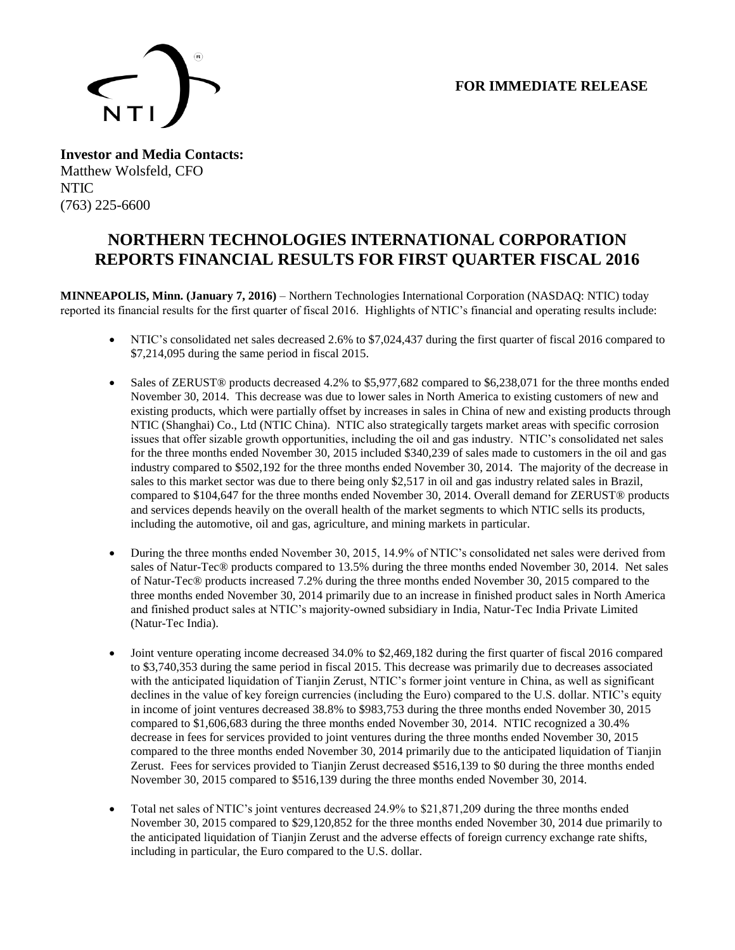# **FOR IMMEDIATE RELEASE**



**Investor and Media Contacts:** Matthew Wolsfeld, CFO NTIC (763) 225-6600

# **NORTHERN TECHNOLOGIES INTERNATIONAL CORPORATION REPORTS FINANCIAL RESULTS FOR FIRST QUARTER FISCAL 2016**

**MINNEAPOLIS, Minn. (January 7, 2016)** – Northern Technologies International Corporation (NASDAQ: NTIC) today reported its financial results for the first quarter of fiscal 2016. Highlights of NTIC's financial and operating results include:

- NTIC's consolidated net sales decreased 2.6% to \$7,024,437 during the first quarter of fiscal 2016 compared to \$7,214,095 during the same period in fiscal 2015.
- Sales of ZERUST® products decreased 4.2% to \$5,977,682 compared to \$6,238,071 for the three months ended November 30, 2014. This decrease was due to lower sales in North America to existing customers of new and existing products, which were partially offset by increases in sales in China of new and existing products through NTIC (Shanghai) Co., Ltd (NTIC China). NTIC also strategically targets market areas with specific corrosion issues that offer sizable growth opportunities, including the oil and gas industry. NTIC's consolidated net sales for the three months ended November 30, 2015 included \$340,239 of sales made to customers in the oil and gas industry compared to \$502,192 for the three months ended November 30, 2014. The majority of the decrease in sales to this market sector was due to there being only \$2,517 in oil and gas industry related sales in Brazil, compared to \$104,647 for the three months ended November 30, 2014. Overall demand for ZERUST® products and services depends heavily on the overall health of the market segments to which NTIC sells its products, including the automotive, oil and gas, agriculture, and mining markets in particular.
- During the three months ended November 30, 2015, 14.9% of NTIC's consolidated net sales were derived from sales of Natur-Tec® products compared to 13.5% during the three months ended November 30, 2014. Net sales of Natur-Tec® products increased 7.2% during the three months ended November 30, 2015 compared to the three months ended November 30, 2014 primarily due to an increase in finished product sales in North America and finished product sales at NTIC's majority-owned subsidiary in India, Natur-Tec India Private Limited (Natur-Tec India).
- Joint venture operating income decreased 34.0% to \$2,469,182 during the first quarter of fiscal 2016 compared to \$3,740,353 during the same period in fiscal 2015. This decrease was primarily due to decreases associated with the anticipated liquidation of Tianjin Zerust, NTIC's former joint venture in China, as well as significant declines in the value of key foreign currencies (including the Euro) compared to the U.S. dollar. NTIC's equity in income of joint ventures decreased 38.8% to \$983,753 during the three months ended November 30, 2015 compared to \$1,606,683 during the three months ended November 30, 2014. NTIC recognized a 30.4% decrease in fees for services provided to joint ventures during the three months ended November 30, 2015 compared to the three months ended November 30, 2014 primarily due to the anticipated liquidation of Tianjin Zerust. Fees for services provided to Tianjin Zerust decreased \$516,139 to \$0 during the three months ended November 30, 2015 compared to \$516,139 during the three months ended November 30, 2014.
- Total net sales of NTIC's joint ventures decreased 24.9% to \$21,871,209 during the three months ended November 30, 2015 compared to \$29,120,852 for the three months ended November 30, 2014 due primarily to the anticipated liquidation of Tianjin Zerust and the adverse effects of foreign currency exchange rate shifts, including in particular, the Euro compared to the U.S. dollar.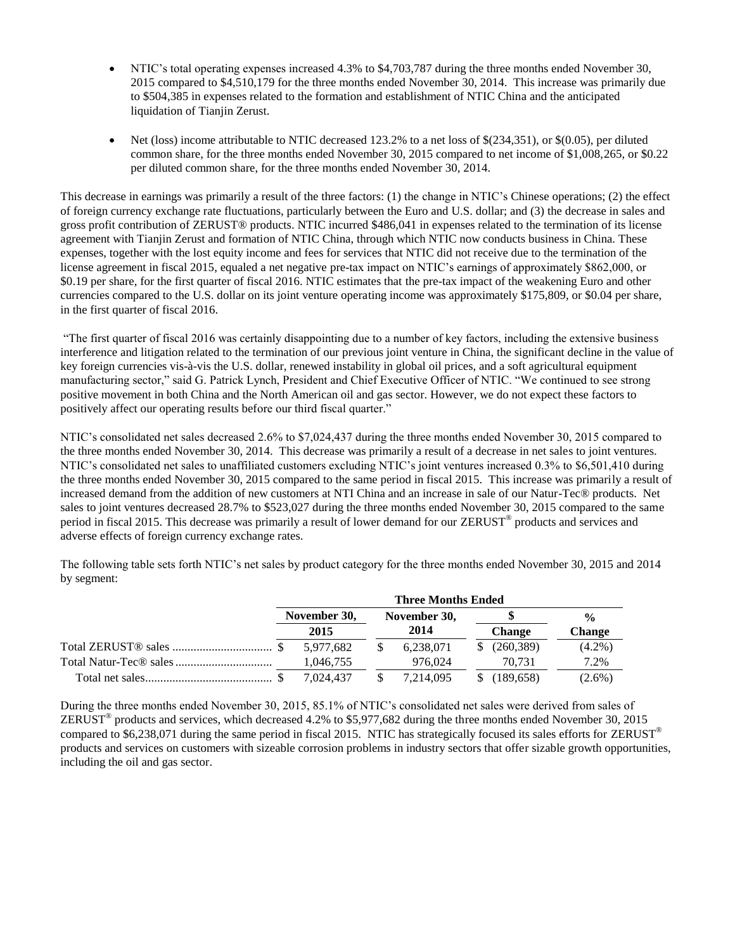- NTIC's total operating expenses increased 4.3% to \$4,703,787 during the three months ended November 30, 2015 compared to \$4,510,179 for the three months ended November 30, 2014. This increase was primarily due to \$504,385 in expenses related to the formation and establishment of NTIC China and the anticipated liquidation of Tianjin Zerust.
- Net (loss) income attributable to NTIC decreased 123.2% to a net loss of \$(234,351), or \$(0.05), per diluted common share, for the three months ended November 30, 2015 compared to net income of \$1,008,265, or \$0.22 per diluted common share, for the three months ended November 30, 2014.

This decrease in earnings was primarily a result of the three factors: (1) the change in NTIC's Chinese operations; (2) the effect of foreign currency exchange rate fluctuations, particularly between the Euro and U.S. dollar; and (3) the decrease in sales and gross profit contribution of ZERUST® products. NTIC incurred \$486,041 in expenses related to the termination of its license agreement with Tianjin Zerust and formation of NTIC China, through which NTIC now conducts business in China. These expenses, together with the lost equity income and fees for services that NTIC did not receive due to the termination of the license agreement in fiscal 2015, equaled a net negative pre-tax impact on NTIC's earnings of approximately \$862,000, or \$0.19 per share, for the first quarter of fiscal 2016. NTIC estimates that the pre-tax impact of the weakening Euro and other currencies compared to the U.S. dollar on its joint venture operating income was approximately \$175,809, or \$0.04 per share, in the first quarter of fiscal 2016.

"The first quarter of fiscal 2016 was certainly disappointing due to a number of key factors, including the extensive business interference and litigation related to the termination of our previous joint venture in China, the significant decline in the value of key foreign currencies vis-à-vis the U.S. dollar, renewed instability in global oil prices, and a soft agricultural equipment manufacturing sector," said G. Patrick Lynch, President and Chief Executive Officer of NTIC. "We continued to see strong positive movement in both China and the North American oil and gas sector. However, we do not expect these factors to positively affect our operating results before our third fiscal quarter."

NTIC's consolidated net sales decreased 2.6% to \$7,024,437 during the three months ended November 30, 2015 compared to the three months ended November 30, 2014. This decrease was primarily a result of a decrease in net sales to joint ventures. NTIC's consolidated net sales to unaffiliated customers excluding NTIC's joint ventures increased 0.3% to \$6,501,410 during the three months ended November 30, 2015 compared to the same period in fiscal 2015. This increase was primarily a result of increased demand from the addition of new customers at NTI China and an increase in sale of our Natur-Tec® products. Net sales to joint ventures decreased 28.7% to \$523,027 during the three months ended November 30, 2015 compared to the same period in fiscal 2015. This decrease was primarily a result of lower demand for our ZERUST<sup>®</sup> products and services and adverse effects of foreign currency exchange rates.

The following table sets forth NTIC's net sales by product category for the three months ended November 30, 2015 and 2014 by segment:

| <b>Three Months Ended</b> |           |              |           |  |               |               |
|---------------------------|-----------|--------------|-----------|--|---------------|---------------|
| November 30,              |           | November 30, |           |  |               | $\frac{0}{0}$ |
|                           | 2015      |              | 2014      |  | <b>Change</b> | <b>Change</b> |
|                           | 5.977.682 |              | 6,238,071 |  | (260, 389)    | $(4.2\%)$     |
|                           | 1.046.755 |              | 976.024   |  | 70.731        | 7.2%          |
|                           | 7.024.437 |              | 7.214.095 |  | (189.658)     | $(2.6\%)$     |

During the three months ended November 30, 2015, 85.1% of NTIC's consolidated net sales were derived from sales of ZERUST<sup>®</sup> products and services, which decreased 4.2% to \$5,977,682 during the three months ended November 30, 2015 compared to  $$6,238,071$  during the same period in fiscal 2015. NTIC has strategically focused its sales efforts for ZERUST<sup>®</sup> products and services on customers with sizeable corrosion problems in industry sectors that offer sizable growth opportunities, including the oil and gas sector.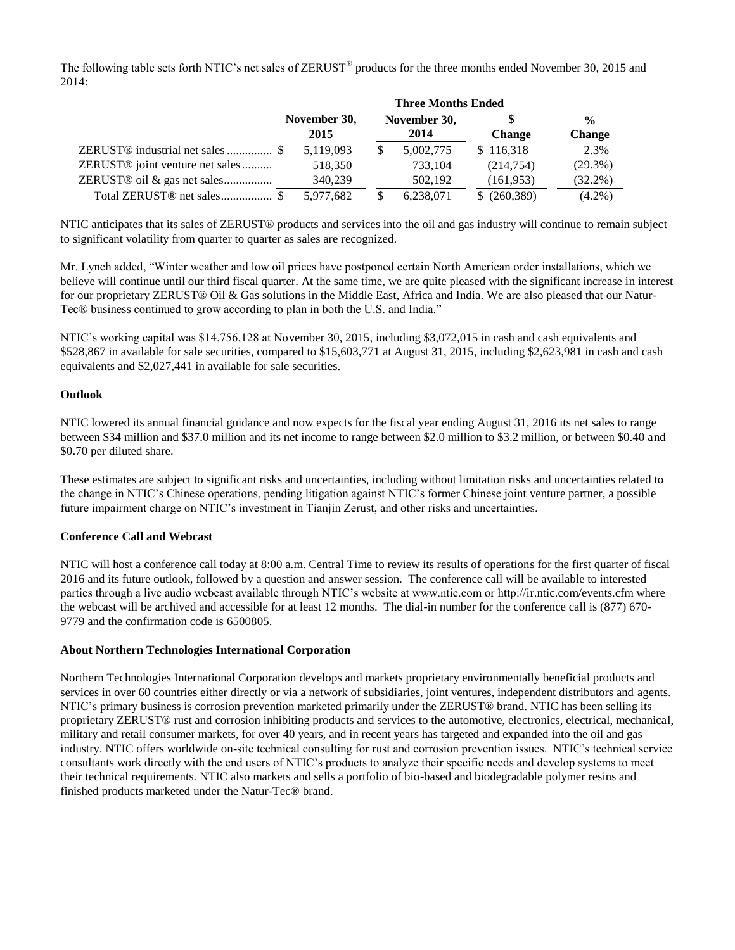The following table sets forth NTIC's net sales of ZERUST<sup>®</sup> products for the three months ended November 30, 2015 and 2014:

|                                             | <b>Three Months Ended</b> |  |              |                  |               |
|---------------------------------------------|---------------------------|--|--------------|------------------|---------------|
|                                             | November 30,              |  | November 30, |                  | $\frac{0}{0}$ |
|                                             | 2015                      |  | 2014         | <b>Change</b>    | <b>Change</b> |
|                                             | 5,119,093                 |  | 5,002,775    | \$116,318        | 2.3%          |
| ZERUST <sup>®</sup> joint venture net sales | 518,350                   |  | 733,104      | (214, 754)       | $(29.3\%)$    |
| ZERUST <sup>®</sup> oil & gas net sales     | 340,239                   |  | 502,192      | (161, 953)       | $(32.2\%)$    |
| Total ZERUST <sup>®</sup> net sales\$       | 5.977.682                 |  | 6,238,071    | $$^{(260,389)}$$ | $(4.2\%)$     |

NTIC anticipates that its sales of ZERUST® products and services into the oil and gas industry will continue to remain subject to significant volatility from quarter to quarter as sales are recognized.

Mr. Lynch added, "Winter weather and low oil prices have postponed certain North American order installations, which we believe will continue until our third fiscal quarter. At the same time, we are quite pleased with the significant increase in interest for our proprietary ZERUST® Oil & Gas solutions in the Middle East, Africa and India. We are also pleased that our Natur-Tec® business continued to grow according to plan in both the U.S. and India."

NTIC's working capital was \$14,756,128 at November 30, 2015, including \$3,072,015 in cash and cash equivalents and \$528,867 in available for sale securities, compared to \$15,603,771 at August 31, 2015, including \$2,623,981 in cash and cash equivalents and \$2,027,441 in available for sale securities.

#### **Outlook**

NTIC lowered its annual financial guidance and now expects for the fiscal year ending August 31, 2016 its net sales to range between \$34 million and \$37.0 million and its net income to range between \$2.0 million to \$3.2 million, or between \$0.40 and \$0.70 per diluted share.

These estimates are subject to significant risks and uncertainties, including without limitation risks and uncertainties related to the change in NTIC's Chinese operations, pending litigation against NTIC's former Chinese joint venture partner, a possible future impairment charge on NTIC's investment in Tianjin Zerust, and other risks and uncertainties.

#### **Conference Call and Webcast**

NTIC will host a conference call today at 8:00 a.m. Central Time to review its results of operations for the first quarter of fiscal 2016 and its future outlook, followed by a question and answer session. The conference call will be available to interested parties through a live audio webcast available through NTIC's website at www.ntic.com or http://ir.ntic.com/events.cfm where the webcast will be archived and accessible for at least 12 months. The dial-in number for the conference call is (877) 670- 9779 and the confirmation code is 6500805.

### **About Northern Technologies International Corporation**

Northern Technologies International Corporation develops and markets proprietary environmentally beneficial products and services in over 60 countries either directly or via a network of subsidiaries, joint ventures, independent distributors and agents. NTIC's primary business is corrosion prevention marketed primarily under the ZERUST® brand. NTIC has been selling its proprietary ZERUST® rust and corrosion inhibiting products and services to the automotive, electronics, electrical, mechanical, military and retail consumer markets, for over 40 years, and in recent years has targeted and expanded into the oil and gas industry. NTIC offers worldwide on-site technical consulting for rust and corrosion prevention issues. NTIC's technical service consultants work directly with the end users of NTIC's products to analyze their specific needs and develop systems to meet their technical requirements. NTIC also markets and sells a portfolio of bio-based and biodegradable polymer resins and finished products marketed under the Natur-Tec® brand.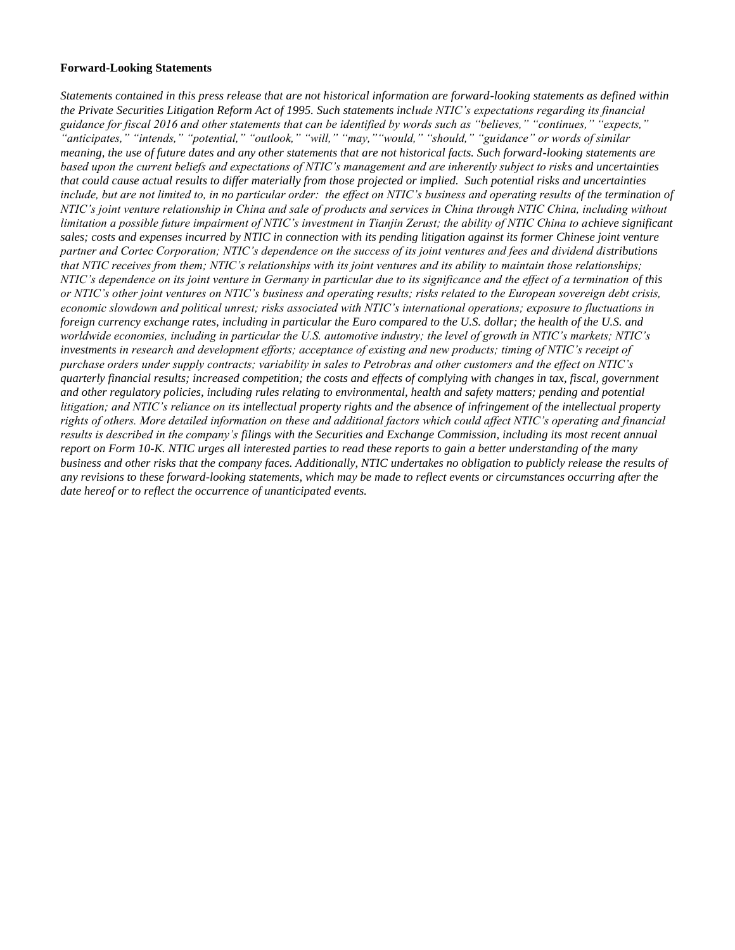#### **Forward-Looking Statements**

*Statements contained in this press release that are not historical information are forward-looking statements as defined within the Private Securities Litigation Reform Act of 1995. Such statements include NTIC's expectations regarding its financial guidance for fiscal 2016 and other statements that can be identified by words such as "believes," "continues," "expects," "anticipates," "intends," "potential," "outlook," "will," "may,""would," "should," "guidance" or words of similar meaning, the use of future dates and any other statements that are not historical facts. Such forward-looking statements are based upon the current beliefs and expectations of NTIC's management and are inherently subject to risks and uncertainties that could cause actual results to differ materially from those projected or implied. Such potential risks and uncertainties* include, but are not limited to, in no particular order: the effect on NTIC's business and operating results of the termination of *NTIC's joint venture relationship in China and sale of products and services in China through NTIC China, including without limitation a possible future impairment of NTIC's investment in Tianjin Zerust; the ability of NTIC China to achieve significant sales; costs and expenses incurred by NTIC in connection with its pending litigation against its former Chinese joint venture partner and Cortec Corporation; NTIC's dependence on the success of its joint ventures and fees and dividend distributions that NTIC receives from them; NTIC's relationships with its joint ventures and its ability to maintain those relationships; NTIC's dependence on its joint venture in Germany in particular due to its significance and the effect of a termination of this or NTIC's other joint ventures on NTIC's business and operating results; risks related to the European sovereign debt crisis, economic slowdown and political unrest; risks associated with NTIC's international operations; exposure to fluctuations in foreign currency exchange rates, including in particular the Euro compared to the U.S. dollar; the health of the U.S. and worldwide economies, including in particular the U.S. automotive industry; the level of growth in NTIC's markets; NTIC's investments in research and development efforts; acceptance of existing and new products; timing of NTIC's receipt of purchase orders under supply contracts; variability in sales to Petrobras and other customers and the effect on NTIC's quarterly financial results; increased competition; the costs and effects of complying with changes in tax, fiscal, government and other regulatory policies, including rules relating to environmental, health and safety matters; pending and potential litigation; and NTIC's reliance on its intellectual property rights and the absence of infringement of the intellectual property rights of others. More detailed information on these and additional factors which could affect NTIC's operating and financial results is described in the company's filings with the Securities and Exchange Commission, including its most recent annual report on Form 10-K. NTIC urges all interested parties to read these reports to gain a better understanding of the many business and other risks that the company faces. Additionally, NTIC undertakes no obligation to publicly release the results of any revisions to these forward-looking statements, which may be made to reflect events or circumstances occurring after the date hereof or to reflect the occurrence of unanticipated events.*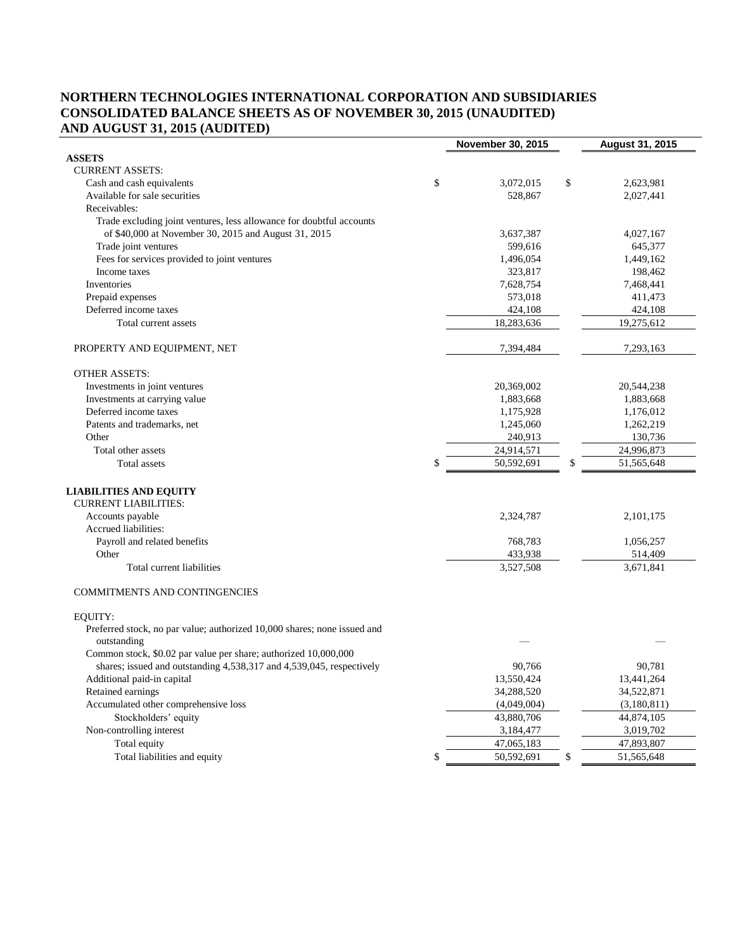# **NORTHERN TECHNOLOGIES INTERNATIONAL CORPORATION AND SUBSIDIARIES CONSOLIDATED BALANCE SHEETS AS OF NOVEMBER 30, 2015 (UNAUDITED) AND AUGUST 31, 2015 (AUDITED)**

|                                                                                         | <b>November 30, 2015</b> | August 31, 2015  |
|-----------------------------------------------------------------------------------------|--------------------------|------------------|
| <b>ASSETS</b>                                                                           |                          |                  |
| <b>CURRENT ASSETS:</b>                                                                  |                          |                  |
| Cash and cash equivalents                                                               | \$<br>3,072,015          | \$<br>2,623,981  |
| Available for sale securities                                                           | 528,867                  | 2,027,441        |
| Receivables:                                                                            |                          |                  |
| Trade excluding joint ventures, less allowance for doubtful accounts                    |                          |                  |
| of \$40,000 at November 30, 2015 and August 31, 2015                                    | 3,637,387                | 4,027,167        |
| Trade joint ventures                                                                    | 599,616                  | 645,377          |
| Fees for services provided to joint ventures                                            | 1,496,054                | 1,449,162        |
| Income taxes                                                                            | 323,817                  | 198,462          |
| Inventories                                                                             | 7,628,754                | 7,468,441        |
| Prepaid expenses                                                                        | 573,018                  | 411,473          |
| Deferred income taxes                                                                   | 424,108                  | 424,108          |
| Total current assets                                                                    | 18,283,636               | 19,275,612       |
| PROPERTY AND EQUIPMENT, NET                                                             | 7,394,484                | 7,293,163        |
| <b>OTHER ASSETS:</b>                                                                    |                          |                  |
| Investments in joint ventures                                                           | 20,369,002               | 20,544,238       |
| Investments at carrying value                                                           | 1,883,668                | 1,883,668        |
| Deferred income taxes                                                                   | 1,175,928                | 1,176,012        |
| Patents and trademarks, net                                                             | 1,245,060                | 1,262,219        |
| Other                                                                                   | 240,913                  | 130,736          |
| Total other assets                                                                      | 24,914,571               | 24,996,873       |
| Total assets                                                                            | \$<br>50,592,691         | \$<br>51,565,648 |
| <b>LIABILITIES AND EQUITY</b><br><b>CURRENT LIABILITIES:</b>                            |                          |                  |
| Accounts payable                                                                        | 2,324,787                | 2,101,175        |
| Accrued liabilities:                                                                    |                          |                  |
| Payroll and related benefits                                                            | 768,783                  | 1,056,257        |
| Other                                                                                   | 433,938                  | 514,409          |
| Total current liabilities                                                               | 3,527,508                | 3,671,841        |
| COMMITMENTS AND CONTINGENCIES                                                           |                          |                  |
| EQUITY:                                                                                 |                          |                  |
| Preferred stock, no par value; authorized 10,000 shares; none issued and<br>outstanding |                          |                  |
| Common stock, \$0.02 par value per share; authorized 10,000,000                         |                          |                  |
| shares; issued and outstanding 4,538,317 and 4,539,045, respectively                    | 90,766                   | 90,781           |
| Additional paid-in capital                                                              | 13,550,424               | 13,441,264       |
| Retained earnings                                                                       | 34,288,520               | 34,522,871       |
| Accumulated other comprehensive loss                                                    | (4,049,004)              | (3,180,811)      |
| Stockholders' equity                                                                    | 43,880,706               | 44,874,105       |
| Non-controlling interest                                                                | 3,184,477                | 3,019,702        |
| Total equity                                                                            | 47,065,183               | 47,893,807       |
| Total liabilities and equity                                                            | \$<br>50,592,691         | \$<br>51,565,648 |